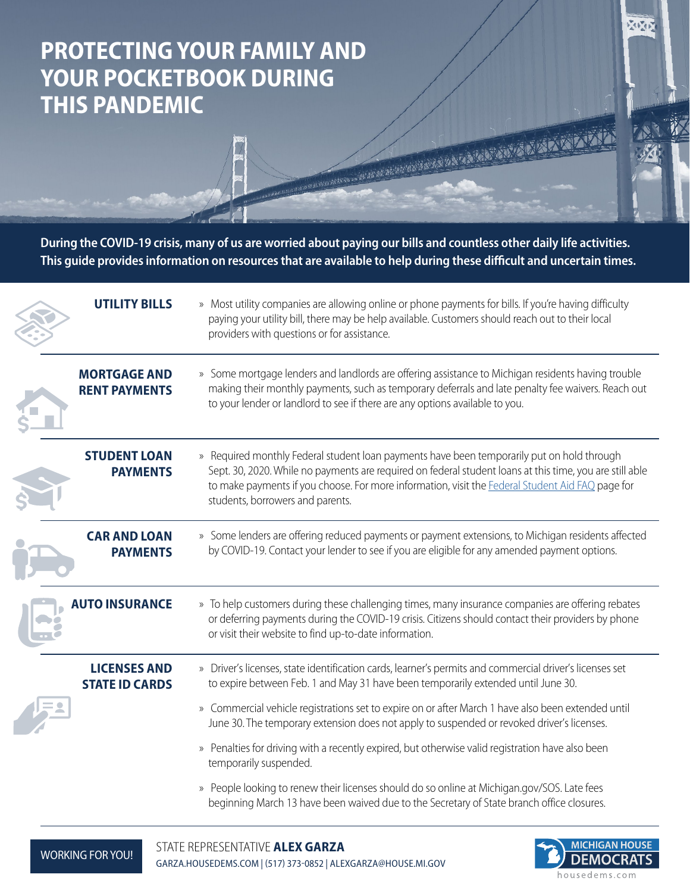## **PROTECTING YOUR FAMILY AND YOUR POCKETBOOK DURING THIS PANDEMIC**

**During the COVID-19 crisis, many of us are worried about paying our bills and countless other daily life activities. This guide provides information on resources that are available to help during these difficult and uncertain times.**

**REAL PROPERTY AND REAL PROPERTY AND REAL PROPERTY AND REAL PROPERTY.** 

| » Most utility companies are allowing online or phone payments for bills. If you're having difficulty<br>paying your utility bill, there may be help available. Customers should reach out to their local<br>providers with questions or for assistance.                                                                                                                                         |
|--------------------------------------------------------------------------------------------------------------------------------------------------------------------------------------------------------------------------------------------------------------------------------------------------------------------------------------------------------------------------------------------------|
| » Some mortgage lenders and landlords are offering assistance to Michigan residents having trouble<br>making their monthly payments, such as temporary deferrals and late penalty fee waivers. Reach out<br>to your lender or landlord to see if there are any options available to you.                                                                                                         |
| » Required monthly Federal student loan payments have been temporarily put on hold through<br>Sept. 30, 2020. While no payments are required on federal student loans at this time, you are still able<br>to make payments if you choose. For more information, visit the Federal Student Aid FAQ page for<br>students, borrowers and parents.                                                   |
| » Some lenders are offering reduced payments or payment extensions, to Michigan residents affected<br>by COVID-19. Contact your lender to see if you are eligible for any amended payment options.                                                                                                                                                                                               |
| » To help customers during these challenging times, many insurance companies are offering rebates<br>or deferring payments during the COVID-19 crisis. Citizens should contact their providers by phone<br>or visit their website to find up-to-date information.                                                                                                                                |
| » Driver's licenses, state identification cards, learner's permits and commercial driver's licenses set<br>to expire between Feb. 1 and May 31 have been temporarily extended until June 30.<br>» Commercial vehicle registrations set to expire on or after March 1 have also been extended until<br>June 30. The temporary extension does not apply to suspended or revoked driver's licenses. |
| » Penalties for driving with a recently expired, but otherwise valid registration have also been<br>temporarily suspended.                                                                                                                                                                                                                                                                       |
| » People looking to renew their licenses should do so online at Michigan.gov/SOS. Late fees<br>beginning March 13 have been waived due to the Secretary of State branch office closures.                                                                                                                                                                                                         |
|                                                                                                                                                                                                                                                                                                                                                                                                  |



 $\sum_{i=1}^n\left(\frac{1}{2}\right)^2\left(\frac{1}{2}\right)$